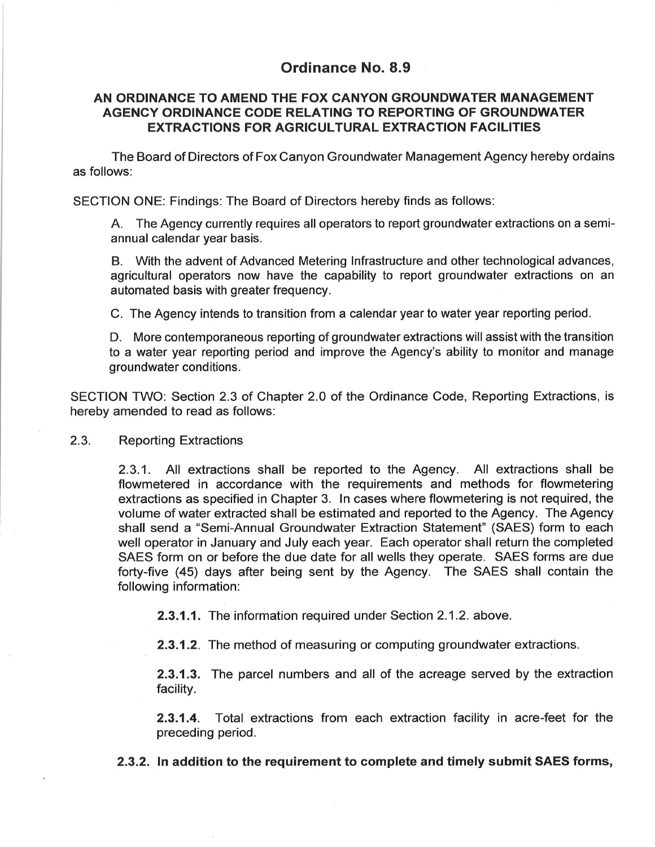## **Ordinance No. 8.9**

## **AN ORDINANCE TO AMEND THE FOX CANYON GROUNDWATER MANAGEMENT AGENCY ORDINANCE CODE RELATING TO REPORTING OF GROUNDWATER EXTRACTIONS FOR AGRICULTURAL EXTRACTION FACILITIES**

The Board of Directors of Fox Canyon Groundwater Management Agency hereby ordains as follows:

SECTION ONE: Findings: The Board of Directors hereby finds as follows:

A. The Agency currently requires all operators to report groundwater extractions on a semiannual calendar year basis.

8. With the advent of Advanced Metering Infrastructure and other technological advances, agricultural operators now have the capability to report groundwater extractions on an automated basis with greater frequency.

C. The Agency intends to transition from a calendar year to water year reporting period.

D. More contemporaneous reporting of groundwater extractions will assist with the transition to a water year reporting period and improve the Agency's ability to monitor and manage groundwater conditions.

SECTION TWO: Section 2.3 of Chapter 2.0 of the Ordinance Code, Reporting Extractions, is hereby amended to read as follows:

## 2.3. Reporting Extractions

2.3.1. All extractions shall be reported to the Agency. All extractions shall be flowmetered in accordance with the requirements and methods for flowmetering extractions as specified in Chapter 3. In cases where flowmetering is not required, the volume of water extracted shall be estimated and reported to the Agency. The Agency shall send a "Semi-Annual Groundwater Extraction Statement" (SAES) form to each well operator in January and July each year. Each operator shall return the completed SAES form on or before the due date for all wells they operate. SAES forms are due forty-five (45) days after being sent by the Agency. The SAES shall contain the following information:

**2.3.1.1.** The information required under Section 2.1.2. above.

**2.3.1.2.** The method of measuring or computing groundwater extractions.

**2.3.1.3.** The parcel numbers and all of the acreage served by the extraction facility.

**2.3.1.4.** Total extractions from each extraction facility in acre-feet for the preceding period.

**2.3.2. In addition to the requirement to complete and timely submit SAES forms,**